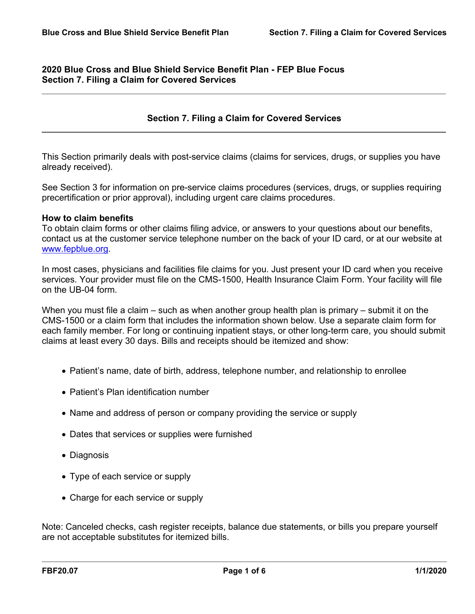# **2020 Blue Cross and Blue Shield Service Benefit Plan - FEP Blue Focus Section 7. Filing a Claim for Covered Services**

# **Section 7. Filing a Claim for Covered Services**

This Section primarily deals with post-service claims (claims for services, drugs, or supplies you have already received).

See Section 3 for information on pre-service claims procedures (services, drugs, or supplies requiring precertification or prior approval), including urgent care claims procedures.

#### **How to claim benefits**

To obtain claim forms or other claims filing advice, or answers to your questions about our benefits, contact us at the customer service telephone number on the back of your ID card, or at our website at [www.fepblue.org.](http://www.fepblue.org/)

In most cases, physicians and facilities file claims for you. Just present your ID card when you receive services. Your provider must file on the CMS-1500, Health Insurance Claim Form. Your facility will file on the UB-04 form.

When you must file a claim – such as when another group health plan is primary – submit it on the CMS-1500 or a claim form that includes the information shown below. Use a separate claim form for each family member. For long or continuing inpatient stays, or other long-term care, you should submit claims at least every 30 days. Bills and receipts should be itemized and show:

- Patient's name, date of birth, address, telephone number, and relationship to enrollee
- Patient's Plan identification number
- Name and address of person or company providing the service or supply
- Dates that services or supplies were furnished
- Diagnosis
- Type of each service or supply
- Charge for each service or supply

Note: Canceled checks, cash register receipts, balance due statements, or bills you prepare yourself are not acceptable substitutes for itemized bills.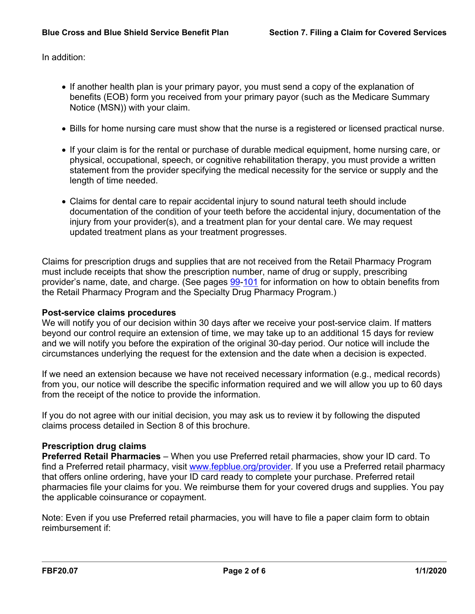In addition:

- If another health plan is your primary payor, you must send a copy of the explanation of benefits (EOB) form you received from your primary payor (such as the Medicare Summary Notice (MSN)) with your claim.
- Bills for home nursing care must show that the nurse is a registered or licensed practical nurse.
- If your claim is for the rental or purchase of durable medical equipment, home nursing care, or physical, occupational, speech, or cognitive rehabilitation therapy, you must provide a written statement from the provider specifying the medical necessity for the service or supply and the length of time needed.
- Claims for dental care to repair accidental injury to sound natural teeth should include documentation of the condition of your teeth before the accidental injury, documentation of the injury from your provider(s), and a treatment plan for your dental care. We may request updated treatment plans as your treatment progresses.

Claims for prescription drugs and supplies that are not received from the Retail Pharmacy Program must include receipts that show the prescription number, name of drug or supply, prescribing provider's name, date, and charge. (See pages [99-](a8376318-ebd6-421f-be63-acf8c88376a1_24f974b9-73a0-4f3b-bde0-09fe7f159afc.html?v=32493)[101](a8376318-ebd6-421f-be63-acf8c88376a1_7c2fa7f8-602e-4190-915b-386ac7ec03ca.html?v=32493) for information on how to obtain benefits from the Retail Pharmacy Program and the Specialty Drug Pharmacy Program.)

### **Post-service claims procedures**

We will notify you of our decision within 30 days after we receive your post-service claim. If matters beyond our control require an extension of time, we may take up to an additional 15 days for review and we will notify you before the expiration of the original 30-day period. Our notice will include the circumstances underlying the request for the extension and the date when a decision is expected.

If we need an extension because we have not received necessary information (e.g., medical records) from you, our notice will describe the specific information required and we will allow you up to 60 days from the receipt of the notice to provide the information.

If you do not agree with our initial decision, you may ask us to review it by following the disputed claims process detailed in Section 8 of this brochure.

### **Prescription drug claims**

**Preferred Retail Pharmacies** – When you use Preferred retail pharmacies, show your ID card. To find a Preferred retail pharmacy, visit [www.fepblue.org/provider.](http://www.fepblue.org/provider) If you use a Preferred retail pharmacy that offers online ordering, have your ID card ready to complete your purchase. Preferred retail pharmacies file your claims for you. We reimburse them for your covered drugs and supplies. You pay the applicable coinsurance or copayment.

Note: Even if you use Preferred retail pharmacies, you will have to file a paper claim form to obtain reimbursement if: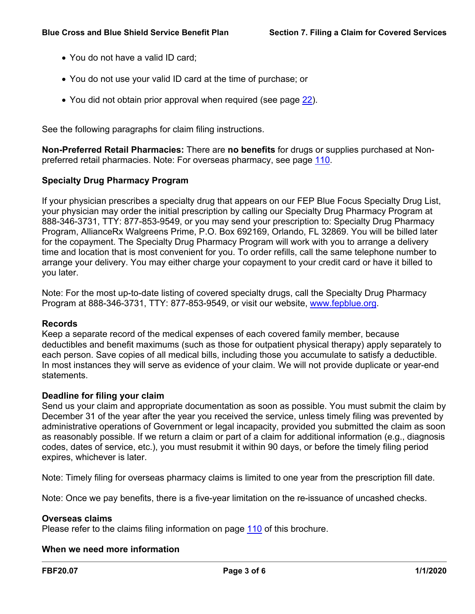- You do not have a valid ID card;
- You do not use your valid ID card at the time of purchase; or
- You did not obtain prior approval when required (see page [22\)](a8376318-ebd6-421f-be63-acf8c88376a1_5e29ce90-b48e-4537-857a-8e55a6424062.html?v=32493).

See the following paragraphs for claim filing instructions.

**Non-Preferred Retail Pharmacies:** There are **no benefits** for drugs or supplies purchased at Nonpreferred retail pharmacies. Note: For overseas pharmacy, see page [110](a8376318-ebd6-421f-be63-acf8c88376a1_d5e52b94-f307-44c1-a7bd-ff1eadcecad9.html?v=32493).

# **Specialty Drug Pharmacy Program**

If your physician prescribes a specialty drug that appears on our FEP Blue Focus Specialty Drug List, your physician may order the initial prescription by calling our Specialty Drug Pharmacy Program at 888-346-3731, TTY: 877-853-9549, or you may send your prescription to: Specialty Drug Pharmacy Program, AllianceRx Walgreens Prime, P.O. Box 692169, Orlando, FL 32869. You will be billed later for the copayment. The Specialty Drug Pharmacy Program will work with you to arrange a delivery time and location that is most convenient for you. To order refills, call the same telephone number to arrange your delivery. You may either charge your copayment to your credit card or have it billed to you later.

Note: For the most up-to-date listing of covered specialty drugs, call the Specialty Drug Pharmacy Program at 888-346-3731, TTY: 877-853-9549, or visit our website, [www.fepblue.org](http://www.fepblue.org/).

### **Records**

Keep a separate record of the medical expenses of each covered family member, because deductibles and benefit maximums (such as those for outpatient physical therapy) apply separately to each person. Save copies of all medical bills, including those you accumulate to satisfy a deductible. In most instances they will serve as evidence of your claim. We will not provide duplicate or year-end statements.

### **Deadline for filing your claim**

Send us your claim and appropriate documentation as soon as possible. You must submit the claim by December 31 of the year after the year you received the service, unless timely filing was prevented by administrative operations of Government or legal incapacity, provided you submitted the claim as soon as reasonably possible. If we return a claim or part of a claim for additional information (e.g., diagnosis codes, dates of service, etc.), you must resubmit it within 90 days, or before the timely filing period expires, whichever is later.

Note: Timely filing for overseas pharmacy claims is limited to one year from the prescription fill date.

Note: Once we pay benefits, there is a five-year limitation on the re-issuance of uncashed checks.

### **Overseas claims**

Please refer to the claims filing information on page [110](a8376318-ebd6-421f-be63-acf8c88376a1_d5e52b94-f307-44c1-a7bd-ff1eadcecad9.html?v=32493) of this brochure.

### **When we need more information**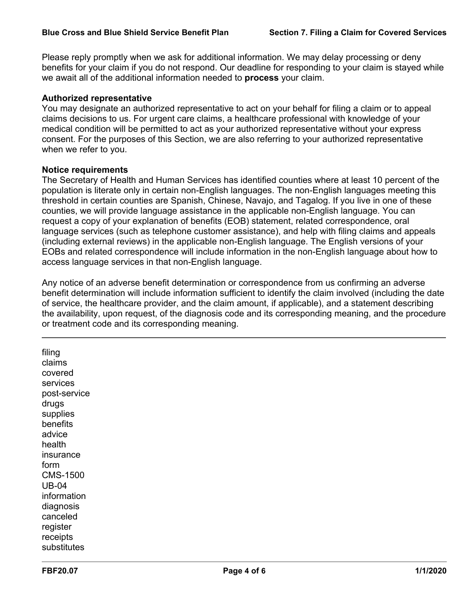Please reply promptly when we ask for additional information. We may delay processing or deny benefits for your claim if you do not respond. Our deadline for responding to your claim is stayed while we await all of the additional information needed to **process** your claim.

### **Authorized representative**

You may designate an authorized representative to act on your behalf for filing a claim or to appeal claims decisions to us. For urgent care claims, a healthcare professional with knowledge of your medical condition will be permitted to act as your authorized representative without your express consent. For the purposes of this Section, we are also referring to your authorized representative when we refer to you.

#### **Notice requirements**

The Secretary of Health and Human Services has identified counties where at least 10 percent of the population is literate only in certain non-English languages. The non-English languages meeting this threshold in certain counties are Spanish, Chinese, Navajo, and Tagalog. If you live in one of these counties, we will provide language assistance in the applicable non-English language. You can request a copy of your explanation of benefits (EOB) statement, related correspondence, oral language services (such as telephone customer assistance), and help with filing claims and appeals (including external reviews) in the applicable non-English language. The English versions of your EOBs and related correspondence will include information in the non-English language about how to access language services in that non-English language.

Any notice of an adverse benefit determination or correspondence from us confirming an adverse benefit determination will include information sufficient to identify the claim involved (including the date of service, the healthcare provider, and the claim amount, if applicable), and a statement describing the availability, upon request, of the diagnosis code and its corresponding meaning, and the procedure or treatment code and its corresponding meaning.

filing claims covered services post-service drugs supplies benefits advice health insurance form CMS-1500 UB-04 information diagnosis canceled register receipts substitutes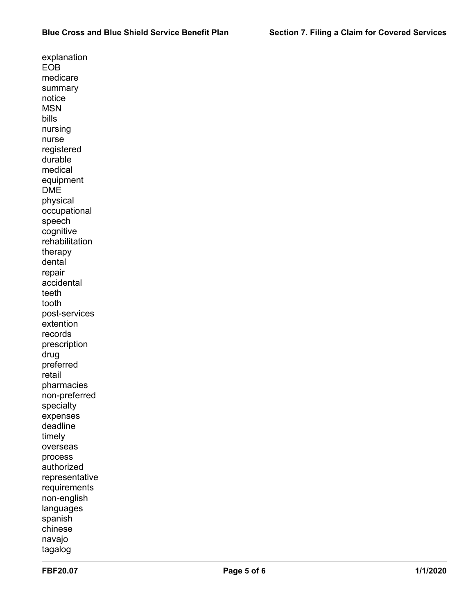explanation EOB medicare summary notice **MSN** bills nursing nurse registered durable medical equipment DME physical occupational speech cognitive rehabilitation therapy dental repair accidental teeth tooth post-services extention records prescription drug preferred retail pharmacies non-preferred specialty expenses deadline timely overseas process authorized representative requirements non-english languages spanish chinese navajo tagalog